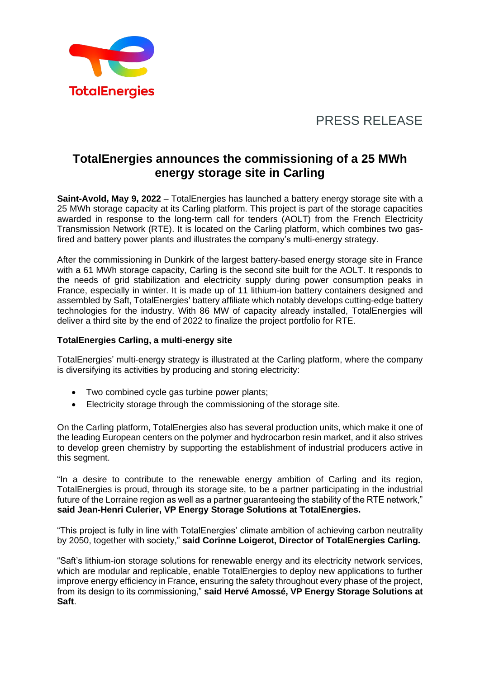

# PRESS RELEASE

## **TotalEnergies announces the commissioning of a 25 MWh energy storage site in Carling**

**Saint-Avold, May 9, 2022** – TotalEnergies has launched a battery energy storage site with a 25 MWh storage capacity at its Carling platform. This project is part of the storage capacities awarded in response to the long-term call for tenders (AOLT) from the French Electricity Transmission Network (RTE). It is located on the Carling platform, which combines two gasfired and battery power plants and illustrates the company's multi-energy strategy.

After the commissioning in Dunkirk of the largest battery-based energy storage site in France with a 61 MWh storage capacity, Carling is the second site built for the AOLT. It responds to the needs of grid stabilization and electricity supply during power consumption peaks in France, especially in winter. It is made up of 11 lithium-ion battery containers designed and assembled by Saft, TotalEnergies' battery affiliate which notably develops cutting-edge battery technologies for the industry. With 86 MW of capacity already installed, TotalEnergies will deliver a third site by the end of 2022 to finalize the project portfolio for RTE.

### **TotalEnergies Carling, a multi-energy site**

TotalEnergies' multi-energy strategy is illustrated at the Carling platform, where the company is diversifying its activities by producing and storing electricity:

- Two combined cycle gas turbine power plants;
- Electricity storage through the commissioning of the storage site.

On the Carling platform, TotalEnergies also has several production units, which make it one of the leading European centers on the polymer and hydrocarbon resin market, and it also strives to develop green chemistry by supporting the establishment of industrial producers active in this segment.

"In a desire to contribute to the renewable energy ambition of Carling and its region, TotalEnergies is proud, through its storage site, to be a partner participating in the industrial future of the Lorraine region as well as a partner guaranteeing the stability of the RTE network," **said Jean-Henri Culerier, VP Energy Storage Solutions at TotalEnergies.**

"This project is fully in line with TotalEnergies' climate ambition of achieving carbon neutrality by 2050, together with society," **said Corinne Loigerot, Director of TotalEnergies Carling.**

"Saft's lithium-ion storage solutions for renewable energy and its electricity network services, which are modular and replicable, enable TotalEnergies to deploy new applications to further improve energy efficiency in France, ensuring the safety throughout every phase of the project, from its design to its commissioning," **said Hervé Amossé, VP Energy Storage Solutions at Saft**.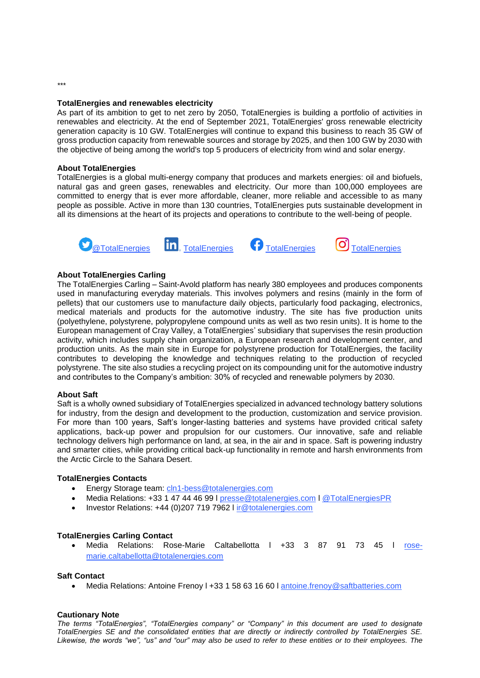#### **TotalEnergies and renewables electricity**

As part of its ambition to get to net zero by 2050, TotalEnergies is building a portfolio of activities in renewables and electricity. At the end of September 2021, TotalEnergies' gross renewable electricity generation capacity is 10 GW. TotalEnergies will continue to expand this business to reach 35 GW of gross production capacity from renewable sources and storage by 2025, and then 100 GW by 2030 with the objective of being among the world's top 5 producers of electricity from wind and solar energy.

#### **About TotalEnergies**

TotalEnergies is a global multi-energy company that produces and markets energies: oil and biofuels, natural gas and green gases, renewables and electricity. Our more than 100,000 employees are committed to energy that is ever more affordable, cleaner, more reliable and accessible to as many people as possible. Active in more than 130 countries, TotalEnergies puts sustainable development in all its dimensions at the heart of its projects and operations to contribute to the well-being of people.





#### **About TotalEnergies Carling**

The TotalEnergies Carling – Saint-Avold platform has nearly 380 employees and produces components used in manufacturing everyday materials. This involves polymers and resins (mainly in the form of pellets) that our customers use to manufacture daily objects, particularly food packaging, electronics, medical materials and products for the automotive industry. The site has five production units (polyethylene, polystyrene, polypropylene compound units as well as two resin units). It is home to the European management of Cray Valley, a TotalEnergies' subsidiary that supervises the resin production activity, which includes supply chain organization, a European research and development center, and production units. As the main site in Europe for polystyrene production for TotalEnergies, the facility contributes to developing the knowledge and techniques relating to the production of recycled polystyrene. The site also studies a recycling project on its compounding unit for the automotive industry and contributes to the Company's ambition: 30% of recycled and renewable polymers by 2030.

#### **About Saft**

Saft is a wholly owned subsidiary of TotalEnergies specialized in advanced technology battery solutions for industry, from the design and development to the production, customization and service provision. For more than 100 years, Saft's longer-lasting batteries and systems have provided critical safety applications, back-up power and propulsion for our customers. Our innovative, safe and reliable technology delivers high performance on land, at sea, in the air and in space. Saft is powering industry and smarter cities, while providing critical back-up functionality in remote and harsh environments from the Arctic Circle to the Sahara Desert.

#### **TotalEnergies Contacts**

- Energy Storage team: [cln1-bess@totalenergies.com](mailto:cln1-bess@totalenergies.com)
- Media Relations: +33 1 47 44 46 99 l [presse@totalenergies.com](mailto:presse@totalenergies.com) [l @TotalEnergiesPR](https://twitter.com/TotalEnergiesPR)
- Investor Relations: +44 (0)207 719 7962 l [ir@totalenergies.com](mailto:ir@totalenergies.com)

#### **TotalEnergies Carling Contact**

• Media Relations: Rose-Marie Caltabellotta l +33 3 87 91 73 45 l [rose](mailto:rose-marie.caltabellotta@totalenergies.com)[marie.caltabellotta@totalenergies.com](mailto:rose-marie.caltabellotta@totalenergies.com)

#### **Saft Contact**

• Media Relations: Antoine Frenoy l +33 1 58 63 16 60 l [antoine.frenoy@saftbatteries.com](mailto:antoine.frenoy@saftbatteries.com)

#### **Cautionary Note**

*The terms "TotalEnergies", "TotalEnergies company" or "Company" in this document are used to designate TotalEnergies SE and the consolidated entities that are directly or indirectly controlled by TotalEnergies SE. Likewise, the words "we", "us" and "our" may also be used to refer to these entities or to their employees. The* 

*\*\*\**